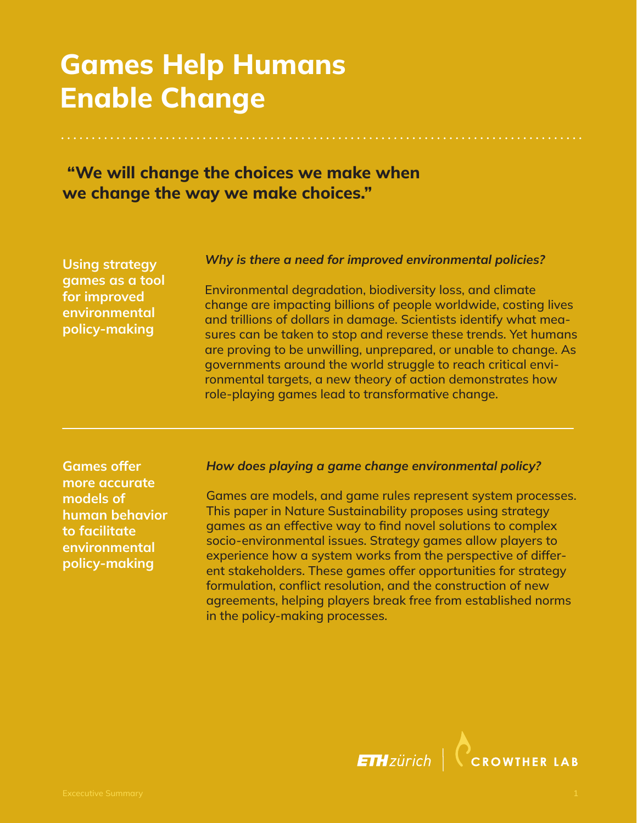# Games Help Humans Enable Change

## "We will change the choices we make when we change the way we make choices."

Using strategy games as a tool for improved environmental policy-making

#### *Why is there a need for improved environmental policies?*

Environmental degradation, biodiversity loss, and climate change are impacting billions of people worldwide, costing lives and trillions of dollars in damage. Scientists identify what measures can be taken to stop and reverse these trends. Yet humans are proving to be unwilling, unprepared, or unable to change. As governments around the world struggle to reach critical environmental targets, a new theory of action demonstrates how role-playing games lead to transformative change.

Games offer more accurate models of human behavior to facilitate environmental policy-making

#### *How does playing a game change environmental policy?*

Games are models, and game rules represent system processes. This paper in Nature Sustainability proposes using strategy games as an effective way to find novel solutions to complex socio-environmental issues. Strategy games allow players to experience how a system works from the perspective of different stakeholders. These games offer opportunities for strategy formulation, conflict resolution, and the construction of new agreements, helping players break free from established norms in the policy-making processes.

> **ETH**zürich **CROWTHER LAB**